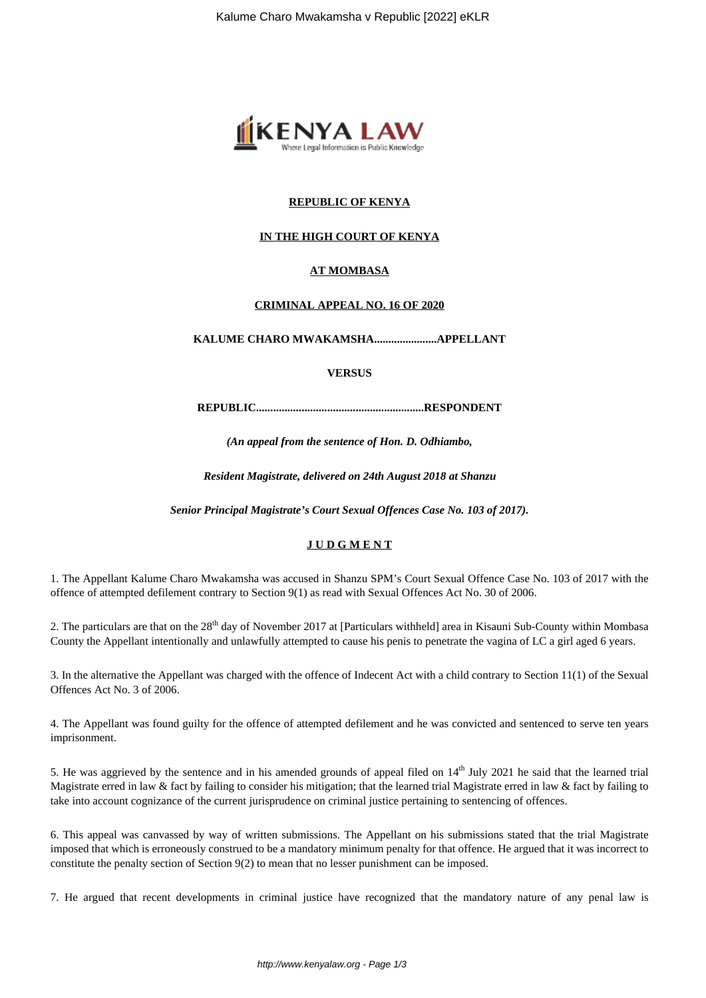

# **REPUBLIC OF KENYA**

## **IN THE HIGH COURT OF KENYA**

### **AT MOMBASA**

#### **CRIMINAL APPEAL NO. 16 OF 2020**

**KALUME CHARO MWAKAMSHA......................APPELLANT**

**VERSUS**

**REPUBLIC...........................................................RESPONDENT**

*(An appeal from the sentence of Hon. D. Odhiambo,*

*Resident Magistrate, delivered on 24th August 2018 at Shanzu*

*Senior Principal Magistrate's Court Sexual Offences Case No. 103 of 2017).*

### **J U D G M E N T**

1. The Appellant Kalume Charo Mwakamsha was accused in Shanzu SPM's Court Sexual Offence Case No. 103 of 2017 with the offence of attempted defilement contrary to Section 9(1) as read with Sexual Offences Act No. 30 of 2006.

2. The particulars are that on the 28<sup>th</sup> day of November 2017 at [Particulars withheld] area in Kisauni Sub-County within Mombasa County the Appellant intentionally and unlawfully attempted to cause his penis to penetrate the vagina of LC a girl aged 6 years.

3. In the alternative the Appellant was charged with the offence of Indecent Act with a child contrary to Section 11(1) of the Sexual Offences Act No. 3 of 2006.

4. The Appellant was found guilty for the offence of attempted defilement and he was convicted and sentenced to serve ten years imprisonment.

5. He was aggrieved by the sentence and in his amended grounds of appeal filed on  $14<sup>th</sup>$  July 2021 he said that the learned trial Magistrate erred in law & fact by failing to consider his mitigation; that the learned trial Magistrate erred in law & fact by failing to take into account cognizance of the current jurisprudence on criminal justice pertaining to sentencing of offences.

6. This appeal was canvassed by way of written submissions. The Appellant on his submissions stated that the trial Magistrate imposed that which is erroneously construed to be a mandatory minimum penalty for that offence. He argued that it was incorrect to constitute the penalty section of Section 9(2) to mean that no lesser punishment can be imposed.

7. He argued that recent developments in criminal justice have recognized that the mandatory nature of any penal law is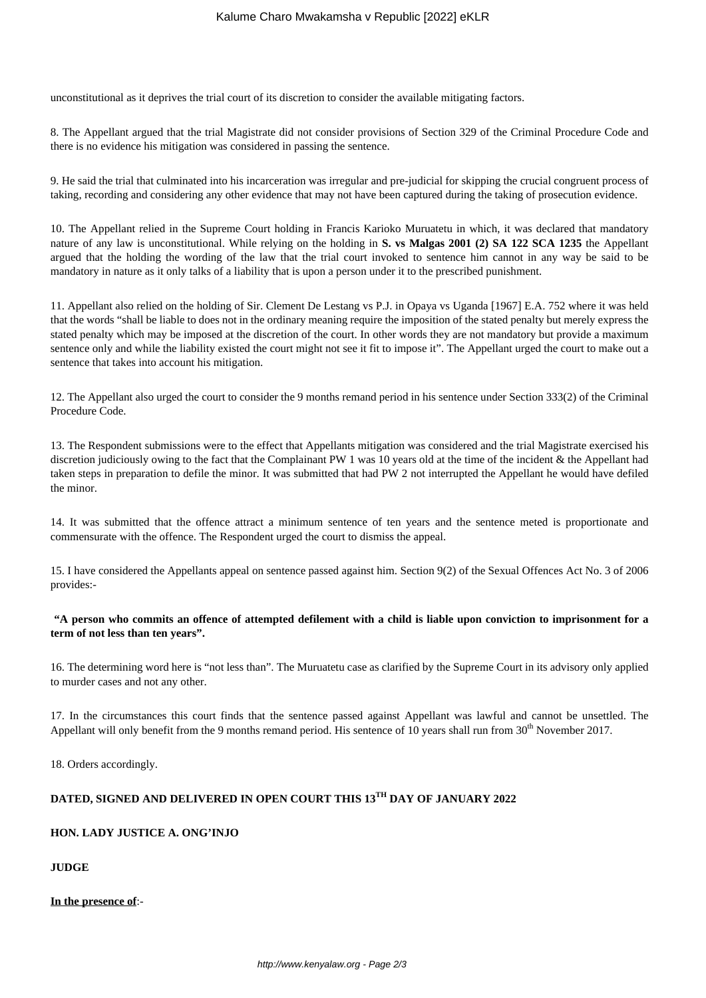unconstitutional as it deprives the trial court of its discretion to consider the available mitigating factors.

8. The Appellant argued that the trial Magistrate did not consider provisions of Section 329 of the Criminal Procedure Code and there is no evidence his mitigation was considered in passing the sentence.

9. He said the trial that culminated into his incarceration was irregular and pre-judicial for skipping the crucial congruent process of taking, recording and considering any other evidence that may not have been captured during the taking of prosecution evidence.

10. The Appellant relied in the Supreme Court holding in Francis Karioko Muruatetu in which, it was declared that mandatory nature of any law is unconstitutional. While relying on the holding in **S. vs Malgas 2001 (2) SA 122 SCA 1235** the Appellant argued that the holding the wording of the law that the trial court invoked to sentence him cannot in any way be said to be mandatory in nature as it only talks of a liability that is upon a person under it to the prescribed punishment.

11. Appellant also relied on the holding of Sir. Clement De Lestang vs P.J. in Opaya vs Uganda [1967] E.A. 752 where it was held that the words "shall be liable to does not in the ordinary meaning require the imposition of the stated penalty but merely express the stated penalty which may be imposed at the discretion of the court. In other words they are not mandatory but provide a maximum sentence only and while the liability existed the court might not see it fit to impose it". The Appellant urged the court to make out a sentence that takes into account his mitigation.

12. The Appellant also urged the court to consider the 9 months remand period in his sentence under Section 333(2) of the Criminal Procedure Code.

13. The Respondent submissions were to the effect that Appellants mitigation was considered and the trial Magistrate exercised his discretion judiciously owing to the fact that the Complainant PW 1 was 10 years old at the time of the incident  $\&$  the Appellant had taken steps in preparation to defile the minor. It was submitted that had PW 2 not interrupted the Appellant he would have defiled the minor.

14. It was submitted that the offence attract a minimum sentence of ten years and the sentence meted is proportionate and commensurate with the offence. The Respondent urged the court to dismiss the appeal.

15. I have considered the Appellants appeal on sentence passed against him. Section 9(2) of the Sexual Offences Act No. 3 of 2006 provides:-

# **"A person who commits an offence of attempted defilement with a child is liable upon conviction to imprisonment for a term of not less than ten years".**

16. The determining word here is "not less than". The Muruatetu case as clarified by the Supreme Court in its advisory only applied to murder cases and not any other.

17. In the circumstances this court finds that the sentence passed against Appellant was lawful and cannot be unsettled. The Appellant will only benefit from the 9 months remand period. His sentence of 10 years shall run from  $30<sup>th</sup>$  November 2017.

18. Orders accordingly.

# **DATED, SIGNED AND DELIVERED IN OPEN COURT THIS 13TH DAY OF JANUARY 2022**

### **HON. LADY JUSTICE A. ONG'INJO**

**JUDGE**

#### **In the presence of**:-